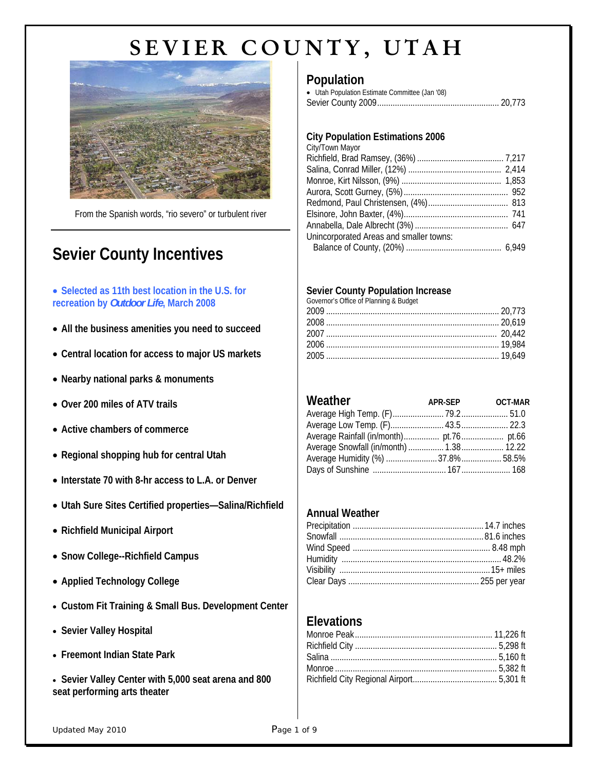

From the Spanish words, "rio severo" or turbulent river

# **Sevier County Incentives**

### • **Selected as 11th best location in the U.S. for recreation by** *Outdoor Life***, March 2008**

- **All the business amenities you need to succeed**
- **Central location for access to major US markets**
- **Nearby national parks & monuments**
- **Over 200 miles of ATV trails**
- **Active chambers of commerce**
- **Regional shopping hub for central Utah**
- **Interstate 70 with 8-hr access to L.A. or Denver**
- **Utah Sure Sites Certified properties—Salina/Richfield**
- **Richfield Municipal Airport**
- **Snow College--Richfield Campus**
- **Applied Technology College**
- **Custom Fit Training & Small Bus. Development Center**
- **Sevier Valley Hospital**
- **Freemont Indian State Park**
- **Sevier Valley Center with 5,000 seat arena and 800 seat performing arts theater**

# **Population**

| • Utah Population Estimate Committee (Jan '08) |  |
|------------------------------------------------|--|
|                                                |  |

### **City Population Estimations 2006**

| City/Town Mayor                         |  |
|-----------------------------------------|--|
|                                         |  |
|                                         |  |
|                                         |  |
|                                         |  |
|                                         |  |
|                                         |  |
|                                         |  |
| Unincorporated Areas and smaller towns: |  |
|                                         |  |

### **Sevier County Population Increase**

| Governor's Office of Planning & Budget |  |
|----------------------------------------|--|
|                                        |  |
|                                        |  |
|                                        |  |
|                                        |  |
|                                        |  |

| Weather | APR-SEP OCT-MAR |  |
|---------|-----------------|--|
|         |                 |  |
|         |                 |  |
|         |                 |  |
|         |                 |  |
|         |                 |  |
|         |                 |  |

### **Annual Weather**

## **Elevations**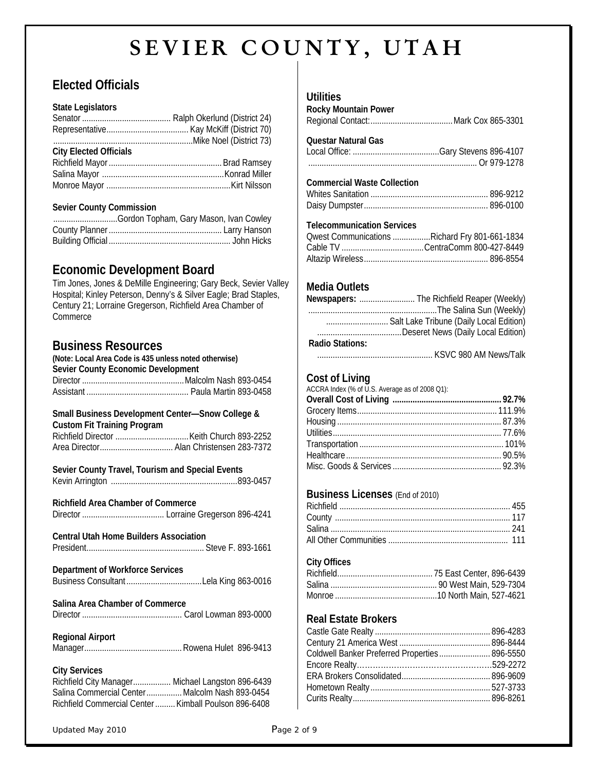# **Elected Officials**

#### **State Legislators**

| <b>City Elected Officials</b> |  |
|-------------------------------|--|
|                               |  |
|                               |  |
|                               |  |

#### **Sevier County Commission**

| Gordon Topham, Gary Mason, Ivan Cowley |  |
|----------------------------------------|--|
|                                        |  |
|                                        |  |

# **Economic Development Board**

Tim Jones, Jones & DeMille Engineering; Gary Beck, Sevier Valley Hospital; Kinley Peterson, Denny's & Silver Eagle; Brad Staples, Century 21; Lorraine Gregerson, Richfield Area Chamber of **Commerce** 

## **Business Resources**

| (Note: Local Area Code is 435 unless noted otherwise)<br>Sevier County Economic Development                                                                                         |
|-------------------------------------------------------------------------------------------------------------------------------------------------------------------------------------|
| Small Business Development Center-Snow College &<br><b>Custom Fit Training Program</b><br>Area Director Alan Christensen 283-7372                                                   |
| Sevier County Travel, Tourism and Special Events                                                                                                                                    |
| <b>Richfield Area Chamber of Commerce</b>                                                                                                                                           |
| <b>Central Utah Home Builders Association</b>                                                                                                                                       |
| Department of Workforce Services                                                                                                                                                    |
| Salina Area Chamber of Commerce                                                                                                                                                     |
| <b>Regional Airport</b>                                                                                                                                                             |
| <b>City Services</b><br>Richfield City Manager Michael Langston 896-6439<br>Salina Commercial Center Malcolm Nash 893-0454<br>Richfield Commercial Center  Kimball Poulson 896-6408 |

## **Utilities**

| Rocky Mountain Power |  |
|----------------------|--|
|                      |  |

#### **Questar Natural Gas**

#### **Commercial Waste Collection**

#### **Telecommunication Services**

| Owest Communications Richard Fry 801-661-1834 |
|-----------------------------------------------|
|                                               |
|                                               |

## **Media Outlets**

|                 | Newspapers:  The Richfield Reaper (Weekly) |
|-----------------|--------------------------------------------|
|                 |                                            |
|                 | Salt Lake Tribune (Daily Local Edition)    |
|                 |                                            |
| Radio Stations: |                                            |
|                 | $VCMO$ 000 $MML$                           |

#### .................................................... KSVC 980 AM News/Talk

## **Cost of Living**

| ACCRA Index (% of U.S. Average as of 2008 Q1): |  |
|------------------------------------------------|--|
|                                                |  |
|                                                |  |
|                                                |  |
|                                                |  |
|                                                |  |
|                                                |  |
|                                                |  |
|                                                |  |

## **Business Licenses** (End of 2010)

### **City Offices**

## **Real Estate Brokers**

| Coldwell Banker Preferred Properties 896-5550 |  |
|-----------------------------------------------|--|
|                                               |  |
|                                               |  |
|                                               |  |
|                                               |  |
|                                               |  |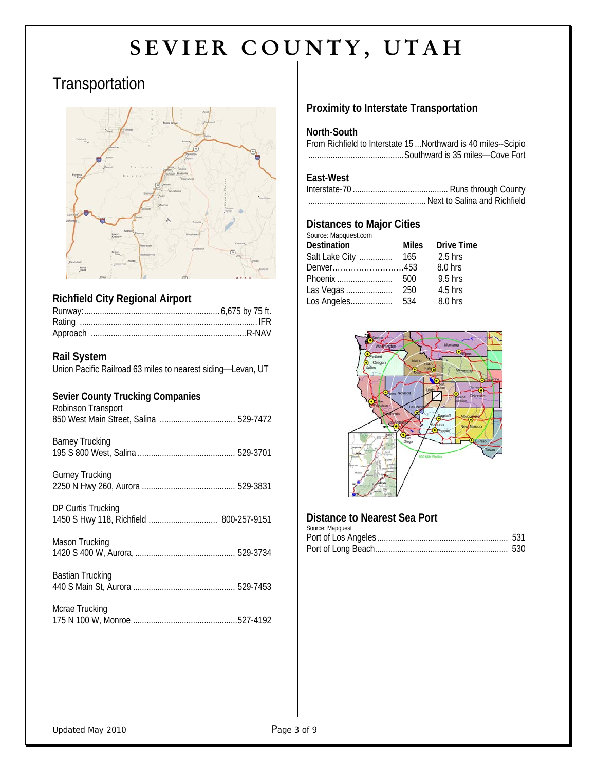# **Transportation**



## **Richfield City Regional Airport**

## **Rail System**

Union Pacific Railroad 63 miles to nearest siding—Levan, UT

### **Sevier County Trucking Companies**

| <b>Sevier County Trucking Companies</b><br>Robinson Transport |
|---------------------------------------------------------------|
| <b>Barney Trucking</b>                                        |
| <b>Gurney Trucking</b>                                        |
| DP Curtis Trucking<br>1450 S Hwy 118, Richfield  800-257-9151 |
| Mason Trucking                                                |
| Bastian Trucking                                              |
| Mcrae Trucking                                                |

| MCRE THUCKING |  |
|---------------|--|
|               |  |

## **Proximity to Interstate Transportation**

#### **North-South**

From Richfield to Interstate 15 ...Northward is 40 miles--Scipio ...........................................Southward is 35 miles—Cove Fort

## **East-West**

## **Distances to Major Cities**

| Source: Mapquest.com |              |                   |
|----------------------|--------------|-------------------|
| Destination          | <b>Miles</b> | <b>Drive Time</b> |
| Salt Lake City       | 165          | $2.5$ hrs         |
| Denver453            |              | 8.0 hrs           |
| Phoenix              | 500          | $9.5$ hrs         |
| Las Vegas            | 250          | $4.5$ hrs         |
| Los Angeles          | 534          | 8.0 hrs           |
|                      |              |                   |



### **Distance to Nearest Sea Port**

| Source: Mapquest |  |
|------------------|--|
|                  |  |
|                  |  |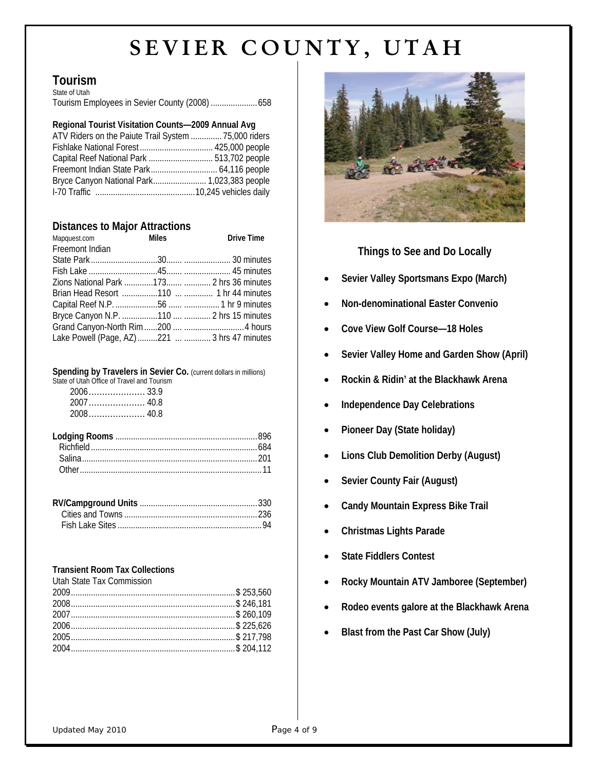#### **Tourism** State of Utah

| olulu ol oluli                                 |  |
|------------------------------------------------|--|
| Tourism Employees in Sevier County (2008)  658 |  |

#### **Regional Tourist Visitation Counts—2009 Annual Avg**

| ATV Riders on the Paiute Trail System  75,000 riders |  |
|------------------------------------------------------|--|
|                                                      |  |
|                                                      |  |
|                                                      |  |
|                                                      |  |
|                                                      |  |

#### **Distances to Major Attractions**

| Mapquest.com    | <b>Miles</b> | <b>Drive Time</b>                             |
|-----------------|--------------|-----------------------------------------------|
| Freemont Indian |              |                                               |
|                 |              |                                               |
|                 |              |                                               |
|                 |              | Zions National Park 173  2 hrs 36 minutes     |
|                 |              |                                               |
|                 |              |                                               |
|                 |              |                                               |
|                 |              |                                               |
|                 |              | Lake Powell (Page, AZ) 221   3 hrs 47 minutes |

#### **Spending by Travelers in Sevier Co.** (current dollars in millions)

| State of Utah Office of Travel and Tourism |  |
|--------------------------------------------|--|
|                                            |  |
|                                            |  |
|                                            |  |

#### **Transient Room Tax Collections**

| Utah State Tax Commission |  |
|---------------------------|--|
|                           |  |
|                           |  |
|                           |  |
|                           |  |
|                           |  |
|                           |  |



## **Things to See and Do Locally**

- **Sevier Valley Sportsmans Expo (March)**
- **Non-denominational Easter Convenio**
- **Cove View Golf Course—18 Holes**
- **Sevier Valley Home and Garden Show (April)**
- **Rockin & Ridin' at the Blackhawk Arena**
- **Independence Day Celebrations**
- **Pioneer Day (State holiday)**
- **Lions Club Demolition Derby (August)**
- **Sevier County Fair (August)**
- **Candy Mountain Express Bike Trail**
- **Christmas Lights Parade**
- **State Fiddlers Contest**
- **Rocky Mountain ATV Jamboree (September)**
- **Rodeo events galore at the Blackhawk Arena**
- **Blast from the Past Car Show (July)**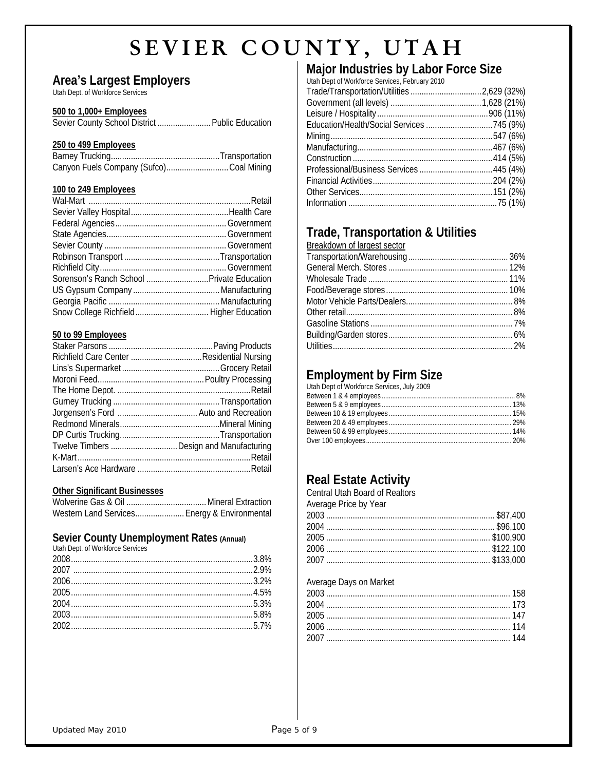## **Area's Largest Employers**

Utah Dept. of Workforce Services

#### **500 to 1,000+ Employees**

Sevier County School District .......................... Public Education

#### **250 to 499 Employees**

|  | Canyon Fuels Company (Sufco)Coal Mining |
|--|-----------------------------------------|

#### **100 to 249 Employees**

| Sorenson's Ranch School  Private Education |  |
|--------------------------------------------|--|
|                                            |  |
|                                            |  |
|                                            |  |

#### **50 to 99 Employees**

| Twelve Timbers  Design and Manufacturing |  |
|------------------------------------------|--|
|                                          |  |
|                                          |  |

#### **Other Significant Businesses**

| Western Land Services Energy & Environmental |  |
|----------------------------------------------|--|

## **Sevier County Unemployment Rates (Annual)**

| Utah Dept. of Workforce Services |  |
|----------------------------------|--|
|                                  |  |
|                                  |  |
|                                  |  |
|                                  |  |
|                                  |  |
|                                  |  |
|                                  |  |
|                                  |  |

# **Major Industries by Labor Force Size**

| Utah Dept of Workforce Services, February 2010 |  |
|------------------------------------------------|--|
|                                                |  |
|                                                |  |
|                                                |  |
|                                                |  |
|                                                |  |
|                                                |  |
|                                                |  |
|                                                |  |
|                                                |  |
|                                                |  |
|                                                |  |

# **Trade, Transportation & Utilities**

| Breakdown of largest sector |  |
|-----------------------------|--|
|                             |  |
|                             |  |
|                             |  |
|                             |  |
|                             |  |
|                             |  |
|                             |  |
|                             |  |
|                             |  |

## **Employment by Firm Size**

# **Real Estate Activity**

| Central Utah Board of Realtors |  |
|--------------------------------|--|
| Average Price by Year          |  |
|                                |  |
|                                |  |
|                                |  |
|                                |  |
|                                |  |
|                                |  |

#### Average Days on Market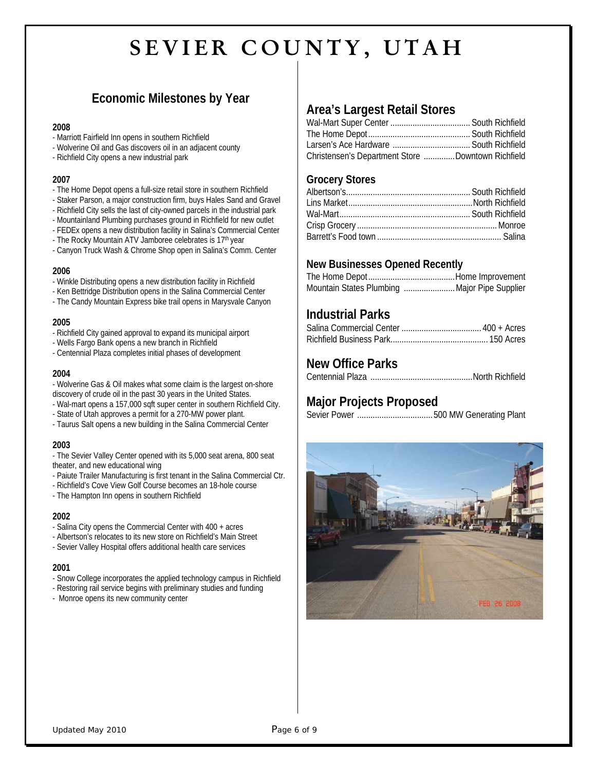# **Economic Milestones by Year**

#### **2008**

- Marriott Fairfield Inn opens in southern Richfield
- Wolverine Oil and Gas discovers oil in an adjacent county
- Richfield City opens a new industrial park

#### **2007**

- The Home Depot opens a full-size retail store in southern Richfield
- Staker Parson, a major construction firm, buys Hales Sand and Gravel
- Richfield City sells the last of city-owned parcels in the industrial park
- Mountainland Plumbing purchases ground in Richfield for new outlet
- FEDEx opens a new distribution facility in Salina's Commercial Center
- The Rocky Mountain ATV Jamboree celebrates is 17<sup>th</sup> year
- Canyon Truck Wash & Chrome Shop open in Salina's Comm. Center

#### **2006**

- Winkle Distributing opens a new distribution facility in Richfield
- Ken Bettridge Distribution opens in the Salina Commercial Center
- The Candy Mountain Express bike trail opens in Marysvale Canyon

#### **2005**

- Richfield City gained approval to expand its municipal airport
- Wells Fargo Bank opens a new branch in Richfield
- Centennial Plaza completes initial phases of development

#### **2004**

- Wolverine Gas & Oil makes what some claim is the largest on-shore discovery of crude oil in the past 30 years in the United States.
- Wal-mart opens a 157,000 sqft super center in southern Richfield City.
- State of Utah approves a permit for a 270-MW power plant.
- Taurus Salt opens a new building in the Salina Commercial Center

#### **2003**

- The Sevier Valley Center opened with its 5,000 seat arena, 800 seat theater, and new educational wing

- Paiute Trailer Manufacturing is first tenant in the Salina Commercial Ctr.
- Richfield's Cove View Golf Course becomes an 18-hole course
- The Hampton Inn opens in southern Richfield

#### **2002**

- Salina City opens the Commercial Center with 400 + acres
- Albertson's relocates to its new store on Richfield's Main Street
- Sevier Valley Hospital offers additional health care services

#### **2001**

- Snow College incorporates the applied technology campus in Richfield
- Restoring rail service begins with preliminary studies and funding
- Monroe opens its new community center

## **Area's Largest Retail Stores**

| Christensen's Department Store Downtown Richfield |  |
|---------------------------------------------------|--|

### **Grocery Stores**

## **New Businesses Opened Recently**

| Mountain States Plumbing  Major Pipe Supplier |
|-----------------------------------------------|

## **Industrial Parks**

## **New Office Parks**

Centennial Plaza ..............................................North Richfield

## **Major Projects Proposed**

Sevier Power ..................................500 MW Generating Plant

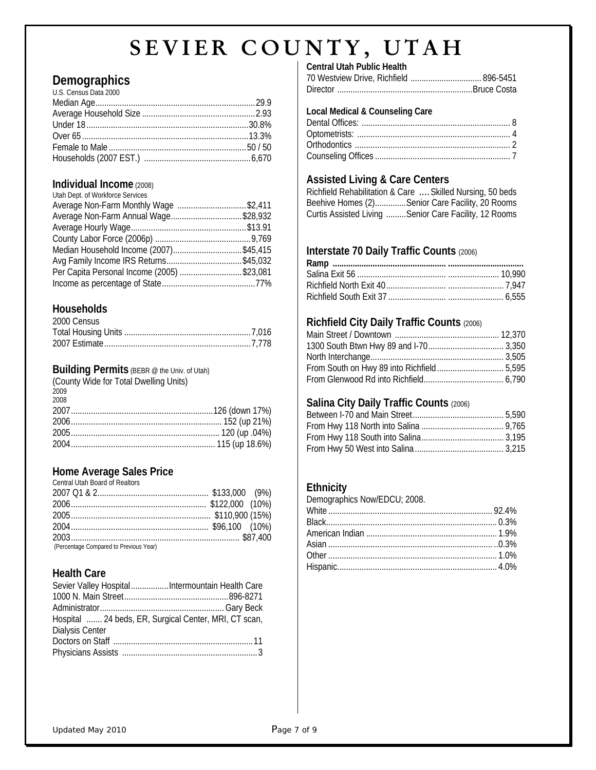## **Demographics**

| U.S. Census Data 2000 |  |
|-----------------------|--|
|                       |  |
|                       |  |
|                       |  |
|                       |  |
|                       |  |
|                       |  |

## **Individual Income** (2008)

| Utah Dept. of Workforce Services           |  |
|--------------------------------------------|--|
| Average Non-Farm Monthly Wage \$2,411      |  |
| Average Non-Farm Annual Wage\$28,932       |  |
|                                            |  |
|                                            |  |
| Median Household Income (2007)\$45,415     |  |
|                                            |  |
| Per Capita Personal Income (2005) \$23,081 |  |
|                                            |  |

## **Households**

| 2000 Census |  |
|-------------|--|
|             |  |
|             |  |

## **Building Permits** (BEBR @ the Univ. of Utah)

| (County Wide for Total Dwelling Units) |  |
|----------------------------------------|--|
| 2009                                   |  |
| 2008                                   |  |
|                                        |  |
|                                        |  |
|                                        |  |
|                                        |  |

## **Home Average Sales Price**

| <b>Central Utah Board of Realtors</b>  |  |
|----------------------------------------|--|
|                                        |  |
|                                        |  |
|                                        |  |
|                                        |  |
|                                        |  |
| (Percentage Compared to Previous Year) |  |

## **Health Care**

| Hospital  24 beds, ER, Surgical Center, MRI, CT scan, |  |
|-------------------------------------------------------|--|
| <b>Dialysis Center</b>                                |  |
|                                                       |  |
|                                                       |  |

### **Central Utah Public Health**

| 70 Westview Drive, Richfield  896-5451 |
|----------------------------------------|
|                                        |

### **Local Medical & Counseling Care**

## **Assisted Living & Care Centers**

| Richfield Rehabilitation & Care  Skilled Nursing, 50 beds |  |  |
|-----------------------------------------------------------|--|--|
| Beehive Homes (2)Senior Care Facility, 20 Rooms           |  |  |
| Curtis Assisted Living Senior Care Facility, 12 Rooms     |  |  |

## **Interstate 70 Daily Traffic Counts** (2006)

## **Richfield City Daily Traffic Counts** (2006)

## **Salina City Daily Traffic Counts** (2006)

| $\blacksquare$ . The contract of the contract of the contract of the contract of the contract of the contract of the contract of the contract of the contract of the contract of the contract of the contract of the contract of the |  |
|--------------------------------------------------------------------------------------------------------------------------------------------------------------------------------------------------------------------------------------|--|
|                                                                                                                                                                                                                                      |  |
|                                                                                                                                                                                                                                      |  |
|                                                                                                                                                                                                                                      |  |
|                                                                                                                                                                                                                                      |  |

## **Ethnicity**

| Demographics Now/EDCU; 2008. |  |
|------------------------------|--|
|                              |  |
|                              |  |
|                              |  |
|                              |  |
|                              |  |
|                              |  |
|                              |  |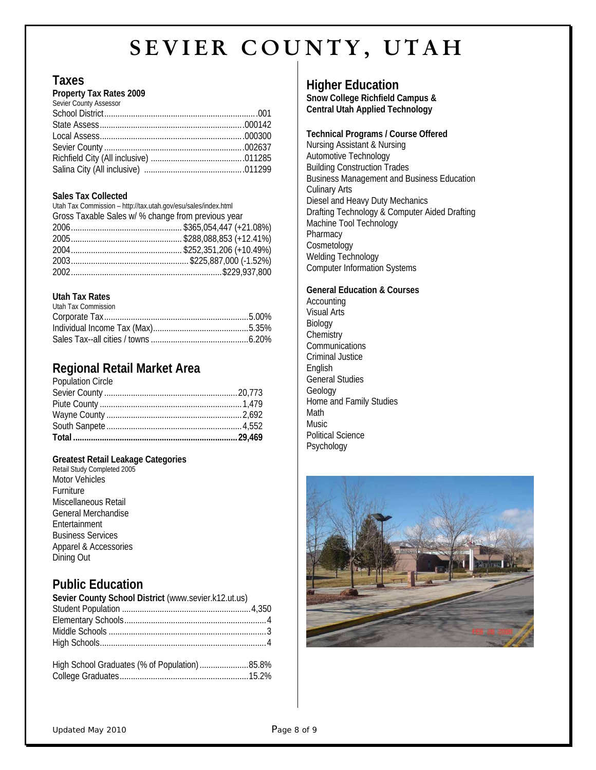## **Taxes**

#### **Property Tax Rates 2009**

| Sevier County Assessor |  |
|------------------------|--|
|                        |  |
|                        |  |
|                        |  |
|                        |  |
|                        |  |
|                        |  |

#### **Sales Tax Collected**

| Utah Tax Commission - http://tax.utah.gov/esu/sales/index.html |  |
|----------------------------------------------------------------|--|
| Gross Taxable Sales w/ % change from previous year             |  |
|                                                                |  |
|                                                                |  |
|                                                                |  |
|                                                                |  |
|                                                                |  |

### **Utah Tax Rates**

# **Regional Retail Market Area**

| <b>Population Circle</b> |  |
|--------------------------|--|
|                          |  |
|                          |  |
|                          |  |
|                          |  |
|                          |  |

### **Greatest Retail Leakage Categories**

## **Public Education**

| Sevier County School District (www.sevier.k12.ut.us) |  |
|------------------------------------------------------|--|
|                                                      |  |
|                                                      |  |
|                                                      |  |
|                                                      |  |
|                                                      |  |
| High School Graduates (% of Population)85.8%         |  |
|                                                      |  |

## **Higher Education**

**Snow College Richfield Campus & Central Utah Applied Technology** 

#### **Technical Programs / Course Offered**  Nursing Assistant & Nursing Automotive Technology Building Construction Trades Business Management and Business Education Culinary Arts Diesel and Heavy Duty Mechanics Drafting Technology & Computer Aided Drafting Machine Tool Technology Pharmacy Cosmetology Welding Technology Computer Information Systems

#### **General Education & Courses**

**Accounting** Visual Arts Biology **Chemistry Communications** Criminal Justice English General Studies Geology Home and Family Studies Math Music Political Science Psychology